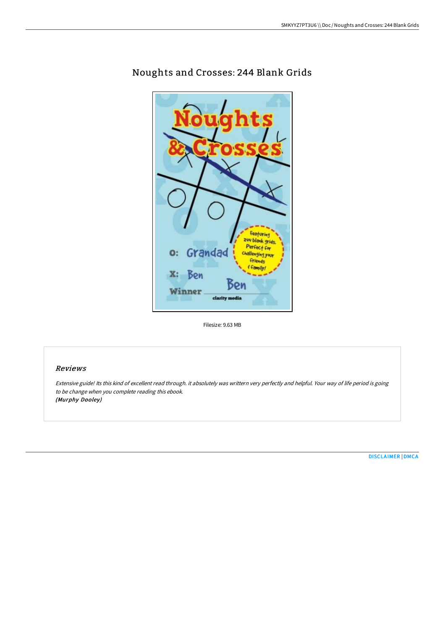

# Noughts and Crosses: 244 Blank Grids

Filesize: 9.63 MB

## Reviews

Extensive guide! Its this kind of excellent read through. it absolutely was writtern very perfectly and helpful. Your way of life period is going to be change when you complete reading this ebook. (Murphy Dooley)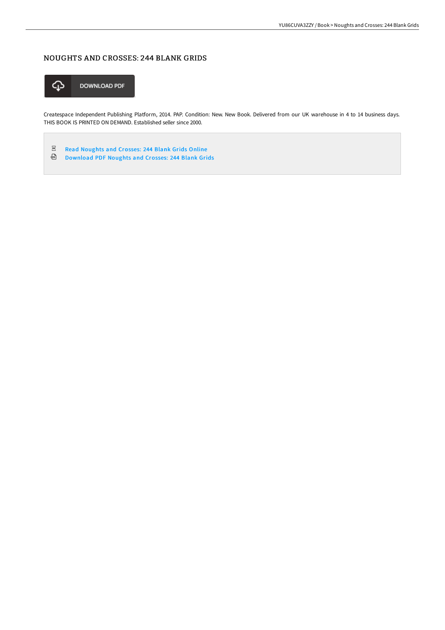# NOUGHTS AND CROSSES: 244 BLANK GRIDS



Createspace Independent Publishing Platform, 2014. PAP. Condition: New. New Book. Delivered from our UK warehouse in 4 to 14 business days. THIS BOOK IS PRINTED ON DEMAND. Established seller since 2000.

 $\rho_{DF}$ Read [Noughts](http://www.bookdirs.com/noughts-and-crosses-244-blank-grids.html) and Crosses: 244 Blank Grids Online

⊕ [Download](http://www.bookdirs.com/noughts-and-crosses-244-blank-grids.html) PDF Noughts and Crosses: 244 Blank Grids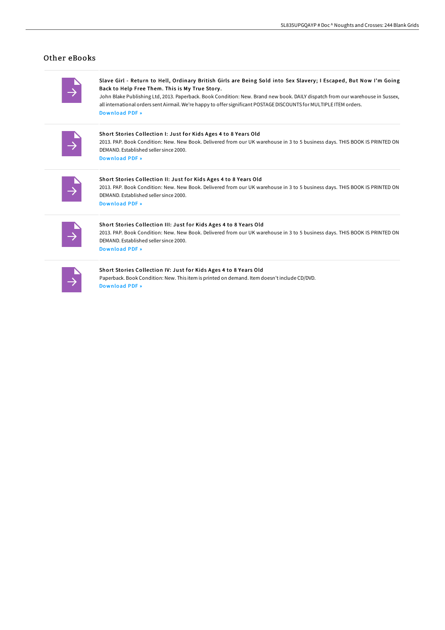## Other eBooks

Slave Girl - Return to Hell, Ordinary British Girls are Being Sold into Sex Slavery; I Escaped, But Now I'm Going Back to Help Free Them. This is My True Story .

John Blake Publishing Ltd, 2013. Paperback. Book Condition: New. Brand new book. DAILY dispatch from our warehouse in Sussex, all international orders sent Airmail. We're happy to offer significant POSTAGEDISCOUNTS for MULTIPLE ITEM orders. [Download](http://www.bookdirs.com/slave-girl-return-to-hell-ordinary-british-girls.html) PDF »

Short Stories Collection I: Just for Kids Ages 4 to 8 Years Old

2013. PAP. Book Condition: New. New Book. Delivered from our UK warehouse in 3 to 5 business days. THIS BOOK IS PRINTED ON DEMAND. Established seller since 2000. [Download](http://www.bookdirs.com/short-stories-collection-i-just-for-kids-ages-4-.html) PDF »

### Short Stories Collection II: Just for Kids Ages 4 to 8 Years Old

2013. PAP. Book Condition: New. New Book. Delivered from our UK warehouse in 3 to 5 business days. THIS BOOK IS PRINTED ON DEMAND. Established seller since 2000. [Download](http://www.bookdirs.com/short-stories-collection-ii-just-for-kids-ages-4.html) PDF »

## Short Stories Collection III: Just for Kids Ages 4 to 8 Years Old 2013. PAP. Book Condition: New. New Book. Delivered from our UK warehouse in 3 to 5 business days. THIS BOOK IS PRINTED ON DEMAND. Established seller since 2000. [Download](http://www.bookdirs.com/short-stories-collection-iii-just-for-kids-ages-.html) PDF »

### Short Stories Collection IV: Just for Kids Ages 4 to 8 Years Old

Paperback. Book Condition: New. This item is printed on demand. Item doesn't include CD/DVD. [Download](http://www.bookdirs.com/short-stories-collection-iv-just-for-kids-ages-4.html) PDF »